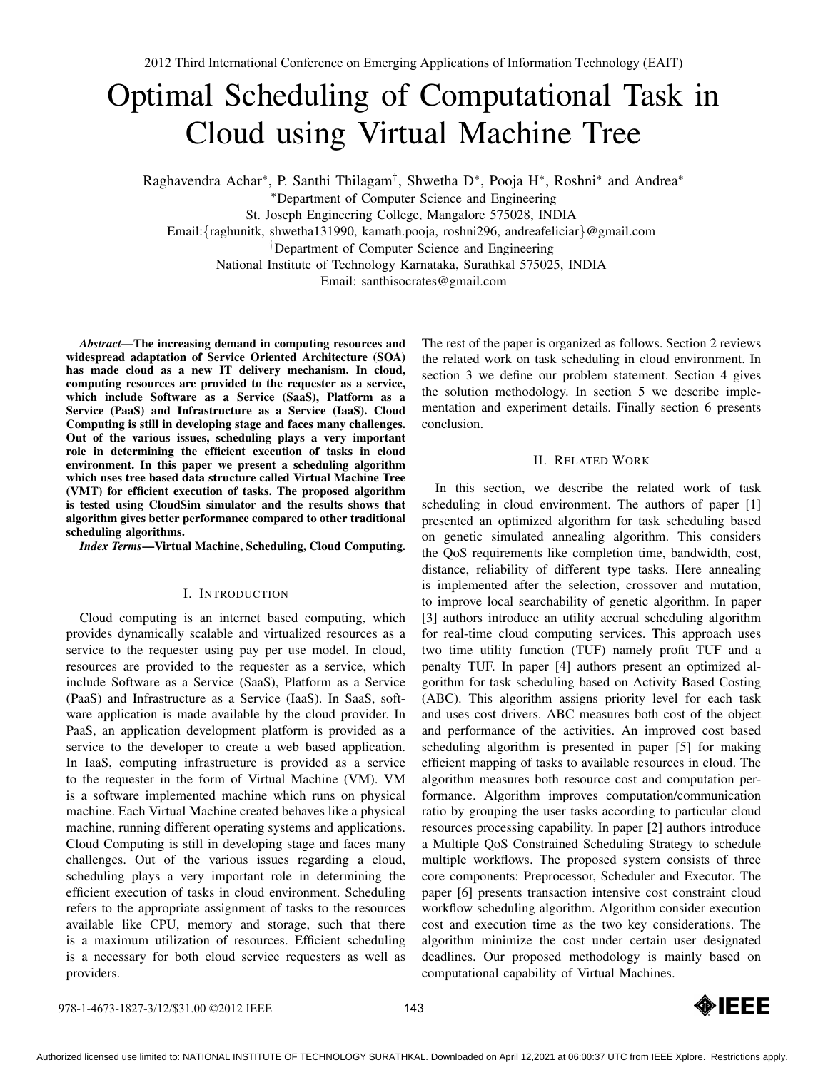# Optimal Scheduling of Computational Task in Cloud using Virtual Machine Tree

Raghavendra Achar\*, P. Santhi Thilagam<sup>†</sup>, Shwetha D\*, Pooja H\*, Roshni\* and Andrea\*

<sup>∗</sup>Department of Computer Science and Engineering

St. Joseph Engineering College, Mangalore 575028, INDIA

Email:{raghunitk, shwetha131990, kamath.pooja, roshni296, andreafeliciar}@gmail.com

†Department of Computer Science and Engineering

National Institute of Technology Karnataka, Surathkal 575025, INDIA

Email: santhisocrates@gmail.com

*Abstract*—The increasing demand in computing resources and widespread adaptation of Service Oriented Architecture (SOA) has made cloud as a new IT delivery mechanism. In cloud, computing resources are provided to the requester as a service, which include Software as a Service (SaaS), Platform as a Service (PaaS) and Infrastructure as a Service (IaaS). Cloud Computing is still in developing stage and faces many challenges. Out of the various issues, scheduling plays a very important role in determining the efficient execution of tasks in cloud environment. In this paper we present a scheduling algorithm which uses tree based data structure called Virtual Machine Tree (VMT) for efficient execution of tasks. The proposed algorithm is tested using CloudSim simulator and the results shows that algorithm gives better performance compared to other traditional scheduling algorithms.

*Index Terms*—Virtual Machine, Scheduling, Cloud Computing.

# I. INTRODUCTION

Cloud computing is an internet based computing, which provides dynamically scalable and virtualized resources as a service to the requester using pay per use model. In cloud, resources are provided to the requester as a service, which include Software as a Service (SaaS), Platform as a Service (PaaS) and Infrastructure as a Service (IaaS). In SaaS, software application is made available by the cloud provider. In PaaS, an application development platform is provided as a service to the developer to create a web based application. In IaaS, computing infrastructure is provided as a service to the requester in the form of Virtual Machine (VM). VM is a software implemented machine which runs on physical machine. Each Virtual Machine created behaves like a physical machine, running different operating systems and applications. Cloud Computing is still in developing stage and faces many challenges. Out of the various issues regarding a cloud, scheduling plays a very important role in determining the efficient execution of tasks in cloud environment. Scheduling refers to the appropriate assignment of tasks to the resources available like CPU, memory and storage, such that there is a maximum utilization of resources. Efficient scheduling is a necessary for both cloud service requesters as well as providers.

The rest of the paper is organized as follows. Section 2 reviews the related work on task scheduling in cloud environment. In section 3 we define our problem statement. Section 4 gives the solution methodology. In section 5 we describe implementation and experiment details. Finally section 6 presents conclusion.

# II. RELATED WORK

In this section, we describe the related work of task scheduling in cloud environment. The authors of paper [1] presented an optimized algorithm for task scheduling based on genetic simulated annealing algorithm. This considers the QoS requirements like completion time, bandwidth, cost, distance, reliability of different type tasks. Here annealing is implemented after the selection, crossover and mutation, to improve local searchability of genetic algorithm. In paper [3] authors introduce an utility accrual scheduling algorithm for real-time cloud computing services. This approach uses two time utility function (TUF) namely profit TUF and a penalty TUF. In paper [4] authors present an optimized algorithm for task scheduling based on Activity Based Costing (ABC). This algorithm assigns priority level for each task and uses cost drivers. ABC measures both cost of the object and performance of the activities. An improved cost based scheduling algorithm is presented in paper [5] for making efficient mapping of tasks to available resources in cloud. The algorithm measures both resource cost and computation performance. Algorithm improves computation/communication ratio by grouping the user tasks according to particular cloud resources processing capability. In paper [2] authors introduce a Multiple QoS Constrained Scheduling Strategy to schedule multiple workflows. The proposed system consists of three core components: Preprocessor, Scheduler and Executor. The paper [6] presents transaction intensive cost constraint cloud workflow scheduling algorithm. Algorithm consider execution cost and execution time as the two key considerations. The algorithm minimize the cost under certain user designated deadlines. Our proposed methodology is mainly based on computational capability of Virtual Machines.

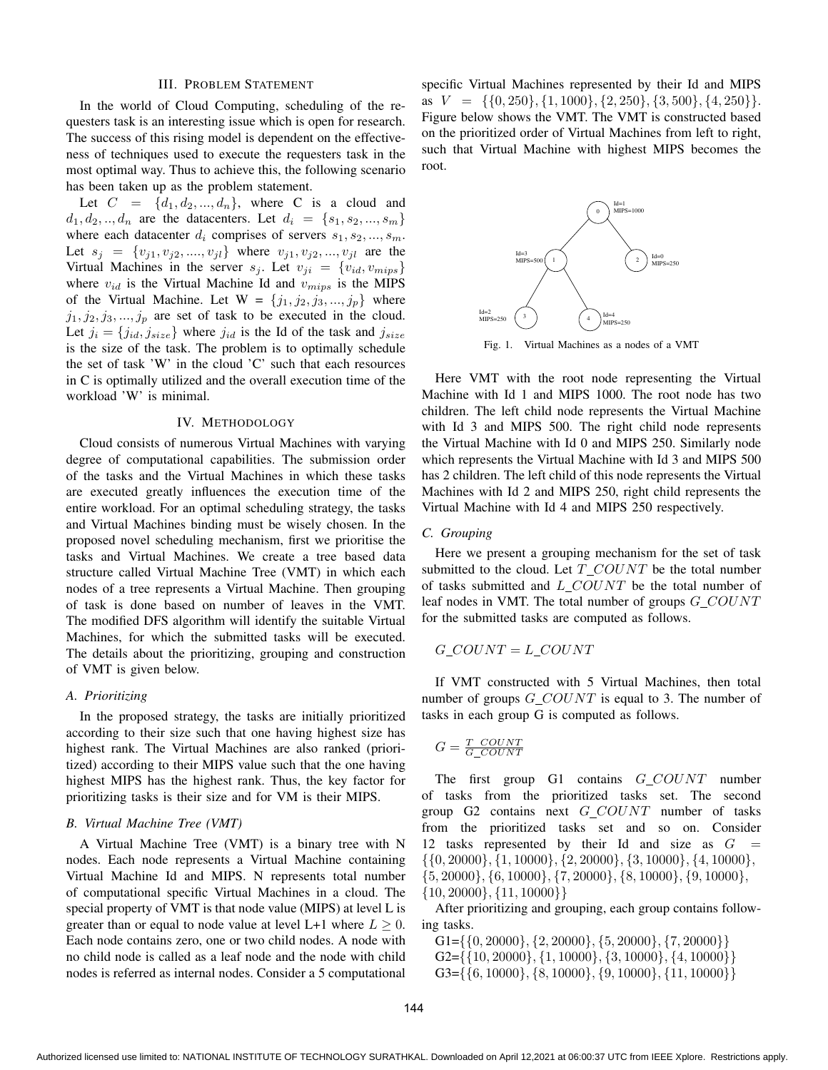#### III. PROBLEM STATEMENT

In the world of Cloud Computing, scheduling of the requesters task is an interesting issue which is open for research. The success of this rising model is dependent on the effectiveness of techniques used to execute the requesters task in the most optimal way. Thus to achieve this, the following scenario has been taken up as the problem statement.

Let  $C = \{d_1, d_2, ..., d_n\}$ , where C is a cloud and  $d_1, d_2, ..., d_n$  are the datacenters. Let  $d_i = \{s_1, s_2, ..., s_m\}$ where each datacenter  $d_i$  comprises of servers  $s_1, s_2, ..., s_m$ . Let  $s_j = \{v_{j1}, v_{j2}, ..., v_{jl}\}$  where  $v_{j1}, v_{j2}, ..., v_{jl}$  are the Virtual Machines in the server  $s_j$ . Let  $v_{ji} = \{v_{id}, v_{mips}\}\$ where  $v_{id}$  is the Virtual Machine Id and  $v_{mips}$  is the MIPS of the Virtual Machine. Let  $W = \{j_1, j_2, j_3, ..., j_p\}$  where  $j_1, j_2, j_3, \ldots, j_p$  are set of task to be executed in the cloud. Let  $j_i = \{j_{id}, j_{size}\}\$  where  $j_{id}$  is the Id of the task and  $j_{size}$ is the size of the task. The problem is to optimally schedule the set of task 'W' in the cloud 'C' such that each resources in C is optimally utilized and the overall execution time of the workload 'W' is minimal.

#### IV. METHODOLOGY

Cloud consists of numerous Virtual Machines with varying degree of computational capabilities. The submission order of the tasks and the Virtual Machines in which these tasks are executed greatly influences the execution time of the entire workload. For an optimal scheduling strategy, the tasks and Virtual Machines binding must be wisely chosen. In the proposed novel scheduling mechanism, first we prioritise the tasks and Virtual Machines. We create a tree based data structure called Virtual Machine Tree (VMT) in which each nodes of a tree represents a Virtual Machine. Then grouping of task is done based on number of leaves in the VMT. The modified DFS algorithm will identify the suitable Virtual Machines, for which the submitted tasks will be executed. The details about the prioritizing, grouping and construction of VMT is given below.

### *A. Prioritizing*

In the proposed strategy, the tasks are initially prioritized according to their size such that one having highest size has highest rank. The Virtual Machines are also ranked (prioritized) according to their MIPS value such that the one having highest MIPS has the highest rank. Thus, the key factor for prioritizing tasks is their size and for VM is their MIPS.

# *B. Virtual Machine Tree (VMT)*

A Virtual Machine Tree (VMT) is a binary tree with N nodes. Each node represents a Virtual Machine containing Virtual Machine Id and MIPS. N represents total number of computational specific Virtual Machines in a cloud. The special property of VMT is that node value (MIPS) at level L is greater than or equal to node value at level L+1 where  $L > 0$ . Each node contains zero, one or two child nodes. A node with no child node is called as a leaf node and the node with child nodes is referred as internal nodes. Consider a 5 computational specific Virtual Machines represented by their Id and MIPS as  $V = \{ \{0, 250\}, \{1, 1000\}, \{2, 250\}, \{3, 500\}, \{4, 250\} \}.$ Figure below shows the VMT. The VMT is constructed based on the prioritized order of Virtual Machines from left to right, such that Virtual Machine with highest MIPS becomes the root.



Fig. 1. Virtual Machines as a nodes of a VMT

Here VMT with the root node representing the Virtual Machine with Id 1 and MIPS 1000. The root node has two children. The left child node represents the Virtual Machine with Id 3 and MIPS 500. The right child node represents the Virtual Machine with Id 0 and MIPS 250. Similarly node which represents the Virtual Machine with Id 3 and MIPS 500 has 2 children. The left child of this node represents the Virtual Machines with Id 2 and MIPS 250, right child represents the Virtual Machine with Id 4 and MIPS 250 respectively.

# *C. Grouping*

Here we present a grouping mechanism for the set of task submitted to the cloud. Let  $T_{COVNT}$  be the total number of tasks submitted and  $L$ <sub>COUNT</sub> be the total number of leaf nodes in VMT. The total number of groups  $G_{\text{C}}COVNT$ for the submitted tasks are computed as follows.

$$
G\_COUNT = L\_COUNT
$$

If VMT constructed with 5 Virtual Machines, then total number of groups  $G\_COUNT$  is equal to 3. The number of tasks in each group G is computed as follows.

$$
G = \frac{T\_COUNT}{G\_COUNT}
$$

The first group G1 contains  $G_{\text{C}}COVNT$  number of tasks from the prioritized tasks set. The second group G2 contains next  $G_{\text{C}}$  COUNT number of tasks from the prioritized tasks set and so on. Consider 12 tasks represented by their Id and size as  $G =$ {{0, 20000}, {1, 10000}, {2, 20000}, {3, 10000}, {4, 10000}, {5, 20000}, {6, 10000}, {7, 20000}, {8, 10000}, {9, 10000},  $\{10, 20000\}, \{11, 10000\}\}$ 

After prioritizing and grouping, each group contains following tasks.

 $G1=\{\{0, 20000\}, \{2, 20000\}, \{5, 20000\}, \{7, 20000\}\}\$  $G2=\{\{10, 20000\}, \{1, 10000\}, \{3, 10000\}, \{4, 10000\}\}$ G3={{6, 10000}, {8, 10000}, {9, 10000}, {11, 10000}}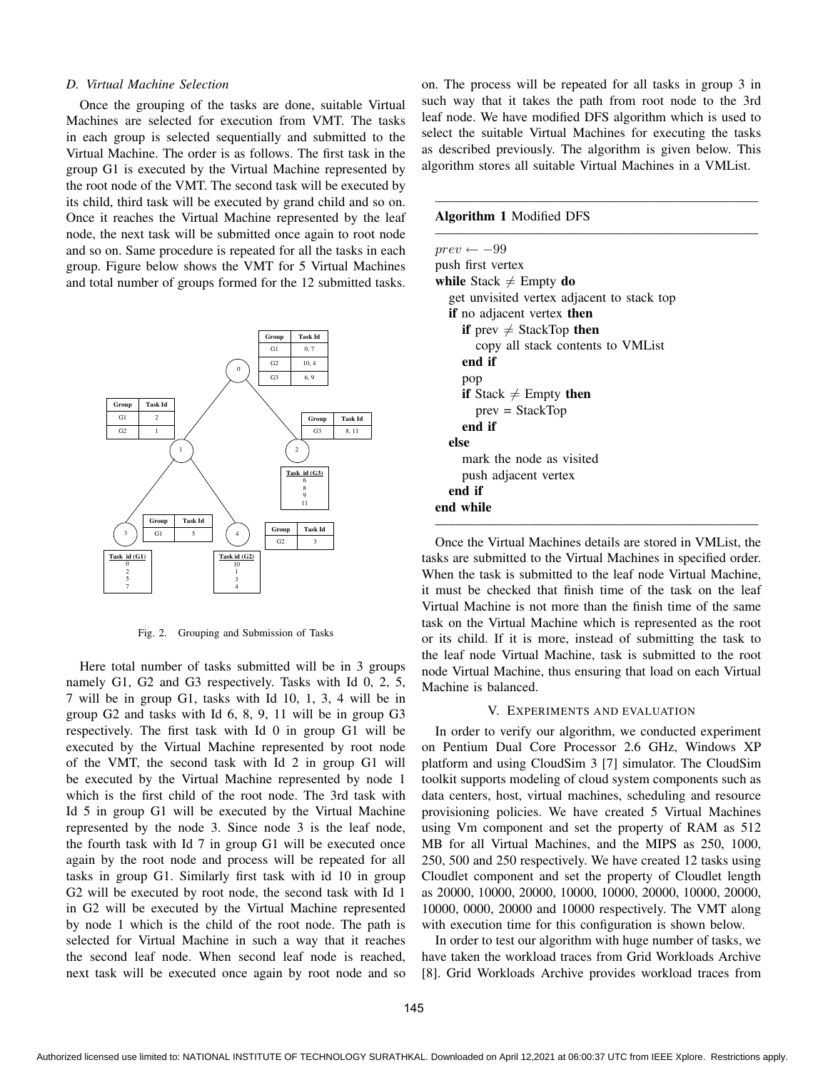### *D. Virtual Machine Selection*

Once the grouping of the tasks are done, suitable Virtual Machines are selected for execution from VMT. The tasks in each group is selected sequentially and submitted to the Virtual Machine. The order is as follows. The first task in the group G1 is executed by the Virtual Machine represented by the root node of the VMT. The second task will be executed by its child, third task will be executed by grand child and so on. Once it reaches the Virtual Machine represented by the leaf node, the next task will be submitted once again to root node and so on. Same procedure is repeated for all the tasks in each group. Figure below shows the VMT for 5 Virtual Machines and total number of groups formed for the 12 submitted tasks.



Fig. 2. Grouping and Submission of Tasks

Here total number of tasks submitted will be in 3 groups namely G1, G2 and G3 respectively. Tasks with Id 0, 2, 5, 7 will be in group G1, tasks with Id 10, 1, 3, 4 will be in group G2 and tasks with Id 6, 8, 9, 11 will be in group G3 respectively. The first task with Id 0 in group G1 will be executed by the Virtual Machine represented by root node of the VMT, the second task with Id 2 in group G1 will be executed by the Virtual Machine represented by node 1 which is the first child of the root node. The 3rd task with Id 5 in group G1 will be executed by the Virtual Machine represented by the node 3. Since node 3 is the leaf node, the fourth task with Id 7 in group G1 will be executed once again by the root node and process will be repeated for all tasks in group G1. Similarly first task with id 10 in group G2 will be executed by root node, the second task with Id 1 in G2 will be executed by the Virtual Machine represented by node 1 which is the child of the root node. The path is selected for Virtual Machine in such a way that it reaches the second leaf node. When second leaf node is reached, next task will be executed once again by root node and so

on. The process will be repeated for all tasks in group 3 in such way that it takes the path from root node to the 3rd leaf node. We have modified DFS algorithm which is used to select the suitable Virtual Machines for executing the tasks as described previously. The algorithm is given below. This algorithm stores all suitable Virtual Machines in a VMList.

————————————————————————

# Algorithm 1 Modified DFS

| $prev \leftarrow -99$                      |
|--------------------------------------------|
| push first vertex                          |
| while Stack $\neq$ Empty do                |
| get unvisited vertex adjacent to stack top |
| if no adjacent vertex then                 |
| <b>if</b> prev $\neq$ StackTop then        |
| copy all stack contents to VML ist         |
| end if                                     |
| pop                                        |
| <b>if</b> Stack $\neq$ Empty then          |
| $prev = StackTop$                          |
| end if                                     |
| else                                       |
| mark the node as visited                   |
| push adjacent vertex                       |
| end if                                     |
| end while                                  |
|                                            |
|                                            |

Once the Virtual Machines details are stored in VMList, the tasks are submitted to the Virtual Machines in specified order. When the task is submitted to the leaf node Virtual Machine, it must be checked that finish time of the task on the leaf Virtual Machine is not more than the finish time of the same task on the Virtual Machine which is represented as the root or its child. If it is more, instead of submitting the task to the leaf node Virtual Machine, task is submitted to the root node Virtual Machine, thus ensuring that load on each Virtual Machine is balanced.

# V. EXPERIMENTS AND EVALUATION

In order to verify our algorithm, we conducted experiment on Pentium Dual Core Processor 2.6 GHz, Windows XP platform and using CloudSim 3 [7] simulator. The CloudSim toolkit supports modeling of cloud system components such as data centers, host, virtual machines, scheduling and resource provisioning policies. We have created 5 Virtual Machines using Vm component and set the property of RAM as 512 MB for all Virtual Machines, and the MIPS as 250, 1000, 250, 500 and 250 respectively. We have created 12 tasks using Cloudlet component and set the property of Cloudlet length as 20000, 10000, 20000, 10000, 10000, 20000, 10000, 20000, 10000, 0000, 20000 and 10000 respectively. The VMT along with execution time for this configuration is shown below.

In order to test our algorithm with huge number of tasks, we have taken the workload traces from Grid Workloads Archive [8]. Grid Workloads Archive provides workload traces from